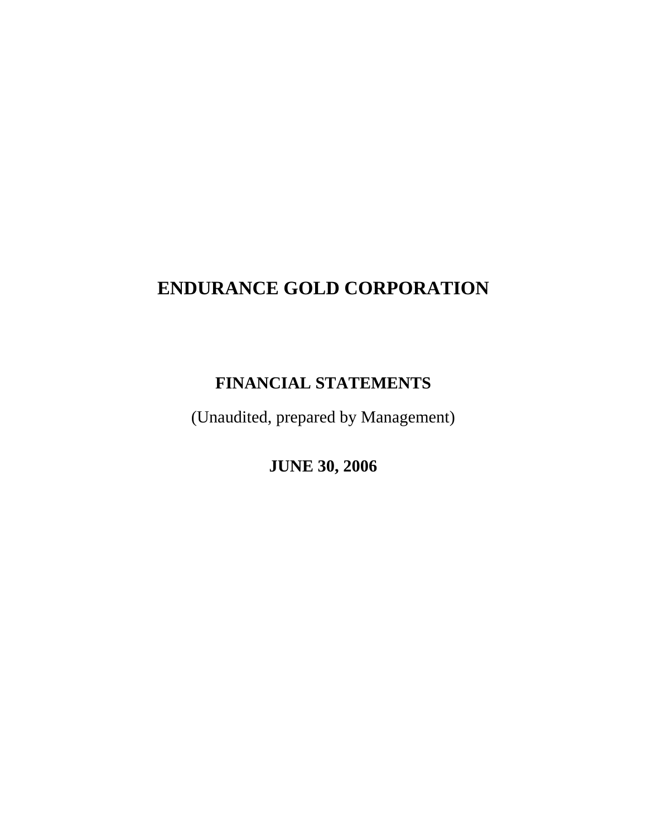# **ENDURANCE GOLD CORPORATION**

# **FINANCIAL STATEMENTS**

(Unaudited, prepared by Management)

**JUNE 30, 2006**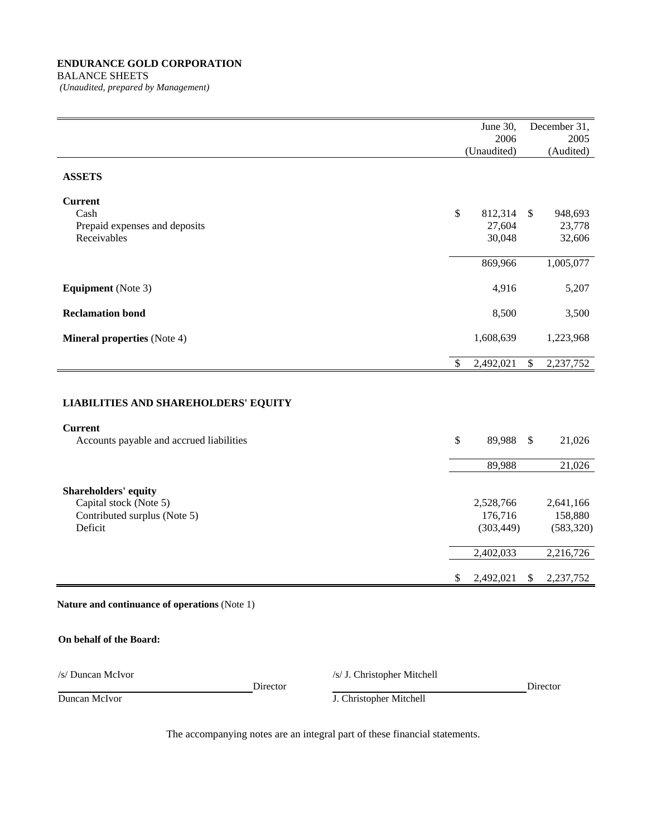# **ENDURANCE GOLD CORPORATION** BALANCE SHEETS

*(Unaudited, prepared by Management)* 

|                                                                                           | June 30,<br>2006<br>(Unaudited)                 | December 31,<br>2005<br>(Audited)               |
|-------------------------------------------------------------------------------------------|-------------------------------------------------|-------------------------------------------------|
| <b>ASSETS</b>                                                                             |                                                 |                                                 |
| <b>Current</b><br>Cash<br>Prepaid expenses and deposits<br>Receivables                    | \$<br>812,314<br>27,604<br>30,048               | 948,693<br>$\mathbb{S}$<br>23,778<br>32,606     |
|                                                                                           | 869,966                                         | 1,005,077                                       |
| <b>Equipment</b> (Note 3)                                                                 | 4,916                                           | 5,207                                           |
| <b>Reclamation bond</b>                                                                   | 8,500                                           | 3,500                                           |
| <b>Mineral properties</b> (Note 4)                                                        | 1,608,639                                       | 1,223,968                                       |
|                                                                                           | \$<br>2,492,021                                 | \$<br>2,237,752                                 |
| <b>LIABILITIES AND SHAREHOLDERS' EQUITY</b>                                               |                                                 |                                                 |
| <b>Current</b><br>Accounts payable and accrued liabilities                                | \$<br>89,988                                    | $\boldsymbol{\mathsf{S}}$<br>21,026             |
|                                                                                           | 89,988                                          | 21,026                                          |
| Shareholders' equity<br>Capital stock (Note 5)<br>Contributed surplus (Note 5)<br>Deficit | 2,528,766<br>176,716<br>(303, 449)<br>2,402,033 | 2,641,166<br>158,880<br>(583, 320)<br>2,216,726 |
|                                                                                           | \$<br>2,492,021                                 | 2,237,752<br>\$                                 |

**Nature and continuance of operations** (Note 1)

# **On behalf of the Board:**

/s/ Duncan McIvor /s/ J. Christopher Mitchell

| Director |  |
|----------|--|

Director Director **Director** 

Duncan McIvor J. Christopher Mitchell

The accompanying notes are an integral part of these financial statements.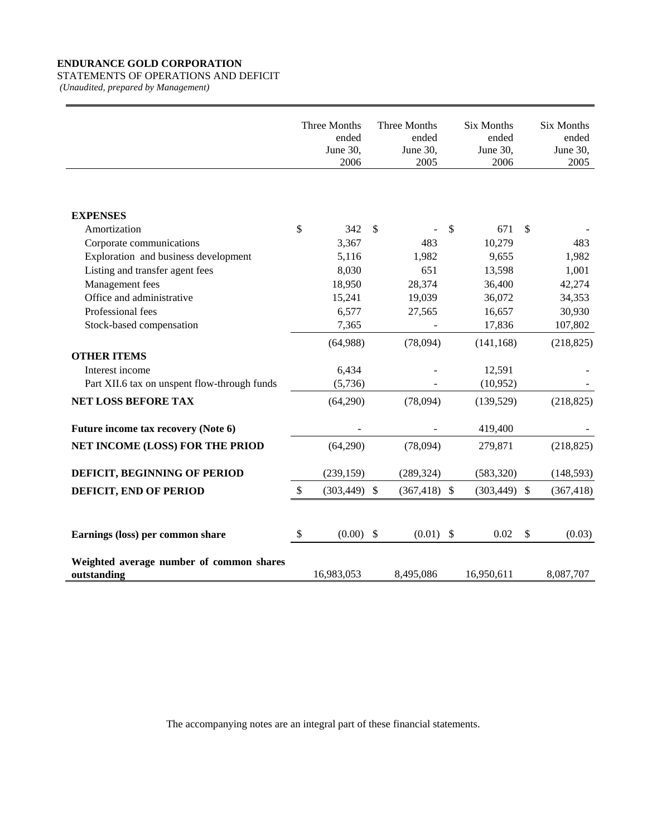# **ENDURANCE GOLD CORPORATION**

# STATEMENTS OF OPERATIONS AND DEFICIT

*(Unaudited, prepared by Management)* 

|                                                         | Three Months<br>ended<br>June 30,<br>2006 |               | Three Months<br>ended<br>June 30,<br>2005 | <b>Six Months</b><br>ended<br>June 30,<br>2006 |                | <b>Six Months</b><br>ended<br>June 30,<br>2005 |
|---------------------------------------------------------|-------------------------------------------|---------------|-------------------------------------------|------------------------------------------------|----------------|------------------------------------------------|
| <b>EXPENSES</b>                                         |                                           |               |                                           |                                                |                |                                                |
| Amortization                                            | \$<br>342                                 | <sup>\$</sup> |                                           | \$<br>671                                      | <sup>\$</sup>  |                                                |
| Corporate communications                                | 3,367                                     |               | 483                                       | 10,279                                         |                | 483                                            |
| Exploration and business development                    | 5,116                                     |               | 1,982                                     | 9,655                                          |                | 1,982                                          |
| Listing and transfer agent fees                         | 8,030                                     |               | 651                                       | 13,598                                         |                | 1,001                                          |
| Management fees                                         | 18,950                                    |               | 28,374                                    | 36,400                                         |                | 42,274                                         |
| Office and administrative                               | 15,241                                    |               | 19,039                                    | 36,072                                         |                | 34,353                                         |
| Professional fees                                       | 6,577                                     |               | 27,565                                    | 16,657                                         |                | 30,930                                         |
| Stock-based compensation                                | 7,365                                     |               |                                           | 17,836                                         |                | 107,802                                        |
|                                                         | (64,988)                                  |               | (78,094)                                  | (141, 168)                                     |                | (218, 825)                                     |
| <b>OTHER ITEMS</b>                                      |                                           |               |                                           |                                                |                |                                                |
| Interest income                                         | 6,434                                     |               |                                           | 12,591                                         |                |                                                |
| Part XII.6 tax on unspent flow-through funds            | (5,736)                                   |               |                                           | (10,952)                                       |                |                                                |
| NET LOSS BEFORE TAX                                     | (64,290)                                  |               | (78,094)                                  | (139, 529)                                     |                | (218, 825)                                     |
| Future income tax recovery (Note 6)                     |                                           |               |                                           | 419,400                                        |                |                                                |
| NET INCOME (LOSS) FOR THE PRIOD                         | (64,290)                                  |               | (78,094)                                  | 279,871                                        |                | (218, 825)                                     |
| DEFICIT, BEGINNING OF PERIOD                            | (239, 159)                                |               | (289, 324)                                | (583, 320)                                     |                | (148, 593)                                     |
| DEFICIT, END OF PERIOD                                  | \$<br>$(303, 449)$ \$                     |               | $(367, 418)$ \$                           | $(303, 449)$ \$                                |                | (367, 418)                                     |
|                                                         |                                           |               |                                           |                                                |                |                                                |
| Earnings (loss) per common share                        | \$<br>$(0.00)$ \$                         |               | $(0.01)$ \$                               | 0.02                                           | $\mathfrak{F}$ | (0.03)                                         |
| Weighted average number of common shares<br>outstanding | 16,983,053                                |               | 8,495,086                                 | 16,950,611                                     |                | 8,087,707                                      |

The accompanying notes are an integral part of these financial statements.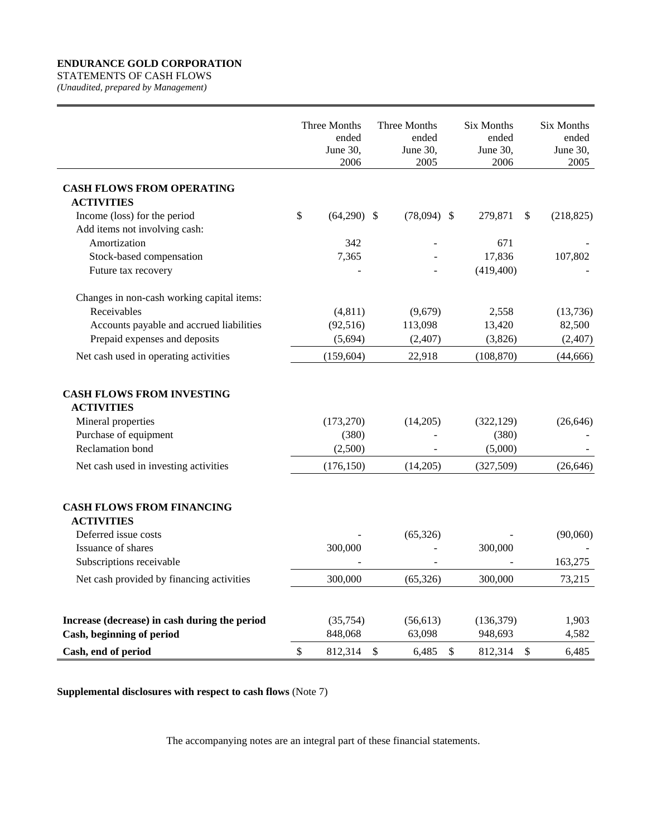# **ENDURANCE GOLD CORPORATION**

STATEMENTS OF CASH FLOWS *(Unaudited, prepared by Management)* 

|                                                                                                                                                                              | Three Months<br>ended<br>June 30,<br>2006 |               | Three Months<br>ended<br>June 30,<br>2005 | <b>Six Months</b><br>ended<br>June 30,<br>2006 |               | Six Months<br>ended<br>June 30,<br>2005 |
|------------------------------------------------------------------------------------------------------------------------------------------------------------------------------|-------------------------------------------|---------------|-------------------------------------------|------------------------------------------------|---------------|-----------------------------------------|
|                                                                                                                                                                              |                                           |               |                                           |                                                |               |                                         |
| <b>CASH FLOWS FROM OPERATING</b><br><b>ACTIVITIES</b>                                                                                                                        |                                           |               |                                           |                                                |               |                                         |
| Income (loss) for the period                                                                                                                                                 | \$<br>$(64,290)$ \$                       |               | $(78,094)$ \$                             | 279,871                                        | $\mathcal{S}$ | (218, 825)                              |
| Add items not involving cash:                                                                                                                                                |                                           |               |                                           |                                                |               |                                         |
| Amortization                                                                                                                                                                 | 342                                       |               |                                           | 671                                            |               |                                         |
| Stock-based compensation                                                                                                                                                     | 7,365                                     |               |                                           | 17,836                                         |               | 107,802                                 |
| Future tax recovery                                                                                                                                                          |                                           |               |                                           | (419, 400)                                     |               |                                         |
| Changes in non-cash working capital items:                                                                                                                                   |                                           |               |                                           |                                                |               |                                         |
| Receivables                                                                                                                                                                  | (4, 811)                                  |               | (9,679)                                   | 2,558                                          |               | (13,736)                                |
| Accounts payable and accrued liabilities                                                                                                                                     | (92, 516)                                 |               | 113,098                                   | 13,420                                         |               | 82,500                                  |
| Prepaid expenses and deposits                                                                                                                                                | (5,694)                                   |               | (2, 407)                                  | (3,826)                                        |               | (2,407)                                 |
| Net cash used in operating activities                                                                                                                                        | (159, 604)                                |               | 22,918                                    | (108, 870)                                     |               | (44, 666)                               |
| <b>CASH FLOWS FROM INVESTING</b><br><b>ACTIVITIES</b><br>Mineral properties<br>Purchase of equipment<br><b>Reclamation</b> bond                                              | (173, 270)<br>(380)<br>(2,500)            |               | (14,205)                                  | (322, 129)<br>(380)<br>(5,000)                 |               | (26, 646)                               |
| Net cash used in investing activities                                                                                                                                        | (176, 150)                                |               | (14,205)                                  | (327,509)                                      |               | (26, 646)                               |
| <b>CASH FLOWS FROM FINANCING</b><br><b>ACTIVITIES</b><br>Deferred issue costs<br>Issuance of shares<br>Subscriptions receivable<br>Net cash provided by financing activities | 300,000<br>300,000                        |               | (65, 326)<br>(65, 326)                    | 300,000<br>300,000                             |               | (90,060)<br>163,275<br>73,215           |
| Increase (decrease) in cash during the period<br>Cash, beginning of period                                                                                                   | (35,754)<br>848,068                       |               | (56, 613)<br>63,098                       | (136, 379)<br>948,693                          |               | 1,903<br>4,582                          |
| Cash, end of period                                                                                                                                                          | \$<br>812,314                             | $\mathcal{S}$ | 6,485                                     | \$<br>812,314                                  | \$            | 6,485                                   |

**Supplemental disclosures with respect to cash flows** (Note 7)

The accompanying notes are an integral part of these financial statements.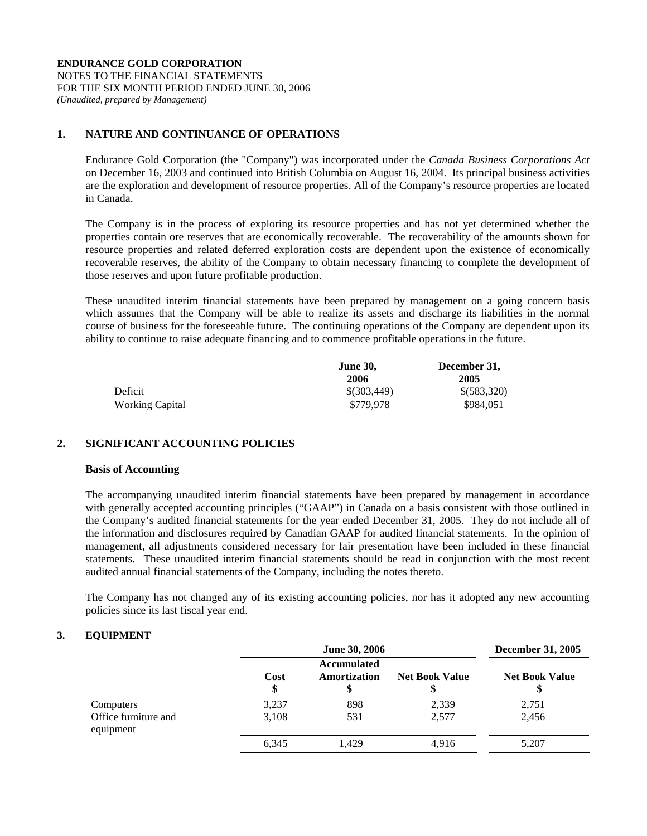# **1. NATURE AND CONTINUANCE OF OPERATIONS**

Endurance Gold Corporation (the "Company") was incorporated under the *Canada Business Corporations Act* on December 16, 2003 and continued into British Columbia on August 16, 2004. Its principal business activities are the exploration and development of resource properties. All of the Company's resource properties are located in Canada.

The Company is in the process of exploring its resource properties and has not yet determined whether the properties contain ore reserves that are economically recoverable. The recoverability of the amounts shown for resource properties and related deferred exploration costs are dependent upon the existence of economically recoverable reserves, the ability of the Company to obtain necessary financing to complete the development of those reserves and upon future profitable production.

These unaudited interim financial statements have been prepared by management on a going concern basis which assumes that the Company will be able to realize its assets and discharge its liabilities in the normal course of business for the foreseeable future. The continuing operations of the Company are dependent upon its ability to continue to raise adequate financing and to commence profitable operations in the future.

|                 | <b>June 30,</b> | December 31, |
|-----------------|-----------------|--------------|
|                 | 2006            | 2005         |
| Deficit         | \$(303,449)     | \$(583,320)  |
| Working Capital | \$779.978       | \$984,051    |

# **2. SIGNIFICANT ACCOUNTING POLICIES**

# **Basis of Accounting**

The accompanying unaudited interim financial statements have been prepared by management in accordance with generally accepted accounting principles ("GAAP") in Canada on a basis consistent with those outlined in the Company's audited financial statements for the year ended December 31, 2005. They do not include all of the information and disclosures required by Canadian GAAP for audited financial statements. In the opinion of management, all adjustments considered necessary for fair presentation have been included in these financial statements. These unaudited interim financial statements should be read in conjunction with the most recent audited annual financial statements of the Company, including the notes thereto.

The Company has not changed any of its existing accounting policies, nor has it adopted any new accounting policies since its last fiscal year end.

# **3. EQUIPMENT**

|                                                |                | June 30, 2006                            |                       | <b>December 31, 2005</b> |
|------------------------------------------------|----------------|------------------------------------------|-----------------------|--------------------------|
|                                                | Cost<br>\$     | <b>Accumulated</b><br>Amortization<br>\$ | <b>Net Book Value</b> | <b>Net Book Value</b>    |
| Computers<br>Office furniture and<br>equipment | 3,237<br>3,108 | 898<br>531                               | 2,339<br>2,577        | 2,751<br>2,456           |
|                                                | 6,345          | 1,429                                    | 4,916                 | 5,207                    |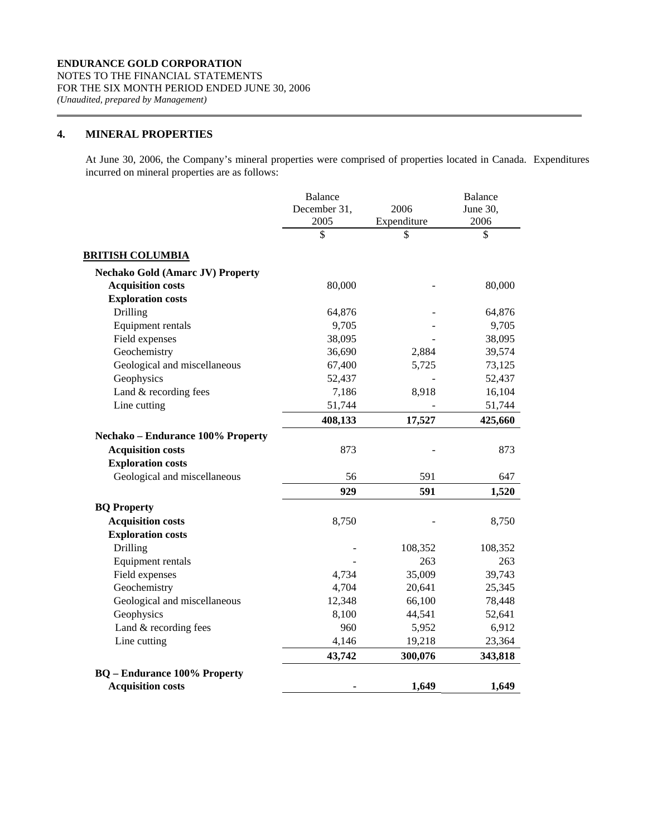# **4. MINERAL PROPERTIES**

 At June 30, 2006, the Company's mineral properties were comprised of properties located in Canada. Expenditures incurred on mineral properties are as follows:

|                                          | <b>Balance</b><br>December 31, | 2006        | Balance<br>June 30, |
|------------------------------------------|--------------------------------|-------------|---------------------|
|                                          | 2005                           | Expenditure | 2006                |
|                                          | \$                             | \$          | \$                  |
| <b>BRITISH COLUMBIA</b>                  |                                |             |                     |
| <b>Nechako Gold (Amarc JV) Property</b>  |                                |             |                     |
| <b>Acquisition costs</b>                 | 80,000                         |             | 80,000              |
| <b>Exploration costs</b>                 |                                |             |                     |
| Drilling                                 | 64,876                         |             | 64,876              |
| Equipment rentals                        | 9,705                          |             | 9,705               |
| Field expenses                           | 38,095                         |             | 38,095              |
| Geochemistry                             | 36,690                         | 2,884       | 39,574              |
| Geological and miscellaneous             | 67,400                         | 5,725       | 73,125              |
| Geophysics                               | 52,437                         |             | 52,437              |
| Land & recording fees                    | 7,186                          | 8,918       | 16,104              |
| Line cutting                             | 51,744                         |             | 51,744              |
|                                          | 408,133                        | 17,527      | 425,660             |
| <b>Nechako – Endurance 100% Property</b> |                                |             |                     |
| <b>Acquisition costs</b>                 | 873                            |             | 873                 |
| <b>Exploration costs</b>                 |                                |             |                     |
| Geological and miscellaneous             | 56                             | 591         | 647                 |
|                                          | 929                            | 591         | 1,520               |
| <b>BQ Property</b>                       |                                |             |                     |
| <b>Acquisition costs</b>                 | 8,750                          |             | 8,750               |
| <b>Exploration costs</b>                 |                                |             |                     |
| Drilling                                 |                                | 108,352     | 108,352             |
| Equipment rentals                        |                                | 263         | 263                 |
| Field expenses                           | 4,734                          | 35,009      | 39,743              |
| Geochemistry                             | 4,704                          | 20,641      | 25,345              |
| Geological and miscellaneous             | 12,348                         | 66,100      | 78,448              |
| Geophysics                               | 8,100                          | 44,541      | 52,641              |
| Land & recording fees                    | 960                            | 5,952       | 6,912               |
| Line cutting                             | 4,146                          | 19,218      | 23,364              |
|                                          | 43,742                         | 300,076     | 343,818             |
| <b>BQ</b> – Endurance 100% Property      |                                |             |                     |
| <b>Acquisition costs</b>                 |                                | 1,649       | 1,649               |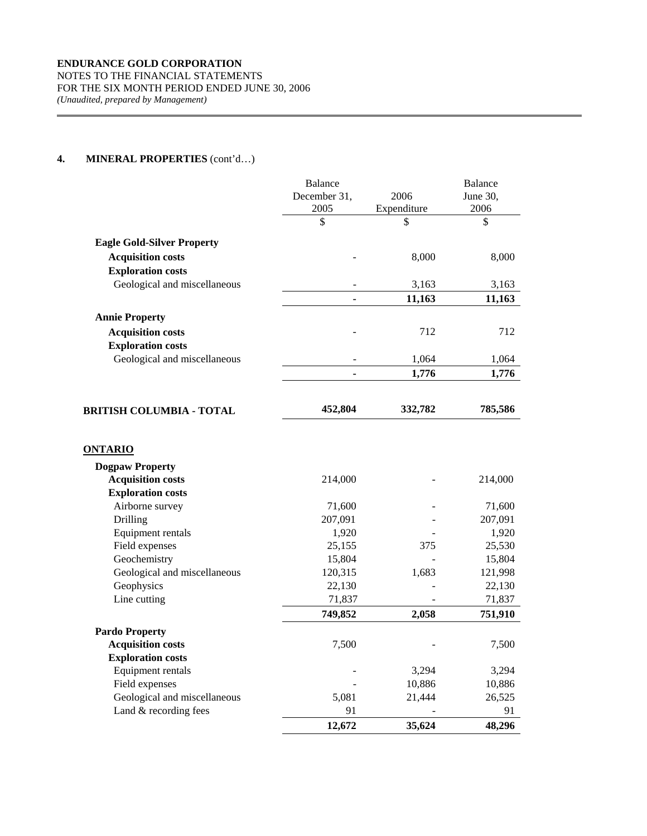|                                   | <b>Balance</b>       |                     | <b>Balance</b>   |
|-----------------------------------|----------------------|---------------------|------------------|
|                                   | December 31,<br>2005 | 2006<br>Expenditure | June 30,<br>2006 |
|                                   | \$                   | \$                  | \$               |
|                                   |                      |                     |                  |
| <b>Eagle Gold-Silver Property</b> |                      |                     |                  |
| <b>Acquisition costs</b>          |                      | 8,000               | 8,000            |
| <b>Exploration costs</b>          |                      |                     |                  |
| Geological and miscellaneous      |                      | 3,163               | 3,163            |
|                                   |                      | 11,163              | 11,163           |
| <b>Annie Property</b>             |                      |                     |                  |
| <b>Acquisition costs</b>          |                      | 712                 | 712              |
| <b>Exploration costs</b>          |                      |                     |                  |
| Geological and miscellaneous      |                      | 1,064               | 1,064            |
|                                   |                      | 1,776               | 1,776            |
|                                   |                      |                     |                  |
| BRITISH COLUMBIA - TOTAL          | 452,804              | 332,782             | 785,586          |
| <b>ONTARIO</b>                    |                      |                     |                  |
| <b>Dogpaw Property</b>            |                      |                     |                  |
| <b>Acquisition costs</b>          | 214,000              |                     | 214,000          |
| <b>Exploration costs</b>          |                      |                     |                  |
| Airborne survey                   | 71,600               |                     | 71,600           |
| Drilling                          | 207,091              |                     | 207,091          |
| Equipment rentals                 | 1,920                |                     | 1,920            |
| Field expenses                    | 25,155               | 375                 | 25,530           |
| Geochemistry                      | 15,804               |                     | 15,804           |
| Geological and miscellaneous      | 120,315              | 1,683               | 121,998          |
| Geophysics                        | 22,130               |                     | 22,130           |
| Line cutting                      | 71,837               |                     | 71,837           |
|                                   | 749,852              | 2,058               | 751,910          |
| <b>Pardo Property</b>             |                      |                     |                  |
| <b>Acquisition costs</b>          | 7,500                |                     | 7,500            |
| <b>Exploration costs</b>          |                      |                     |                  |
| Equipment rentals                 |                      | 3,294               | 3,294            |
| Field expenses                    |                      | 10,886              | 10,886           |
| Geological and miscellaneous      | 5,081                | 21,444              | 26,525           |
| Land & recording fees             | 91                   |                     | 91               |
|                                   | 12,672               | 35,624              | 48,296           |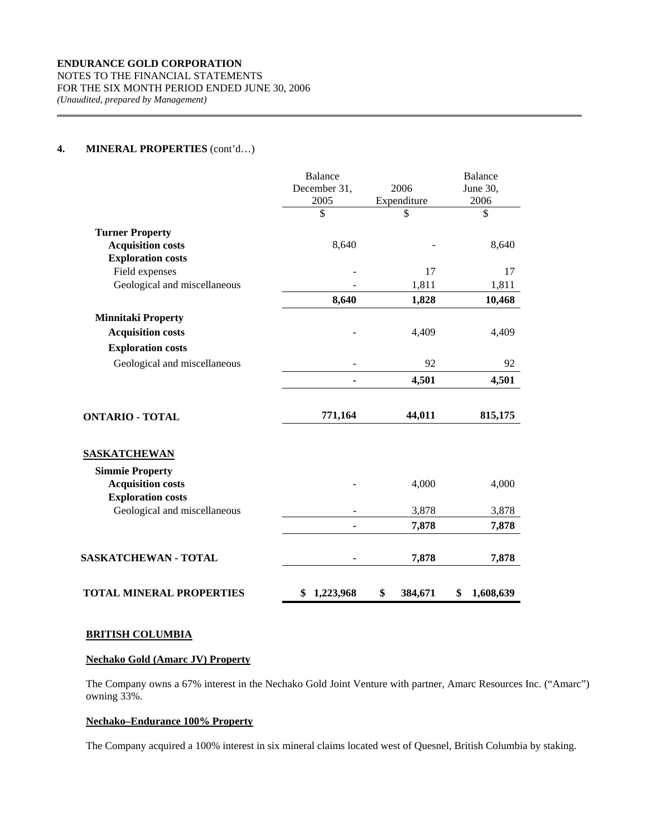|                                 | <b>Balance</b>  |               | <b>Balance</b>  |
|---------------------------------|-----------------|---------------|-----------------|
|                                 | December 31,    | 2006          | June 30,        |
|                                 | 2005            | Expenditure   | 2006            |
|                                 | \$              | \$            | \$              |
| <b>Turner Property</b>          |                 |               |                 |
| <b>Acquisition costs</b>        | 8,640           |               | 8,640           |
| <b>Exploration costs</b>        |                 |               |                 |
| Field expenses                  |                 | 17            | 17              |
| Geological and miscellaneous    |                 | 1,811         | 1,811           |
|                                 | 8,640           | 1,828         | 10,468          |
| <b>Minnitaki Property</b>       |                 |               |                 |
| <b>Acquisition costs</b>        |                 | 4,409         | 4,409           |
| <b>Exploration costs</b>        |                 |               |                 |
| Geological and miscellaneous    |                 | 92            | 92              |
|                                 | ۰               | 4,501         | 4,501           |
| <b>ONTARIO - TOTAL</b>          | 771,164         | 44,011        | 815,175         |
| <b>SASKATCHEWAN</b>             |                 |               |                 |
| <b>Simmie Property</b>          |                 |               |                 |
| <b>Acquisition costs</b>        |                 | 4,000         | 4,000           |
| <b>Exploration costs</b>        |                 |               |                 |
| Geological and miscellaneous    |                 | 3,878         | 3,878           |
|                                 |                 | 7,878         | 7,878           |
| SASKATCHEWAN - TOTAL            |                 | 7,878         | 7,878           |
| <b>TOTAL MINERAL PROPERTIES</b> | \$<br>1,223,968 | \$<br>384,671 | \$<br>1,608,639 |

#### **BRITISH COLUMBIA**

# **Nechako Gold (Amarc JV) Property**

 The Company owns a 67% interest in the Nechako Gold Joint Venture with partner, Amarc Resources Inc. ("Amarc") owning 33%.

# **Nechako–Endurance 100% Property**

The Company acquired a 100% interest in six mineral claims located west of Quesnel, British Columbia by staking.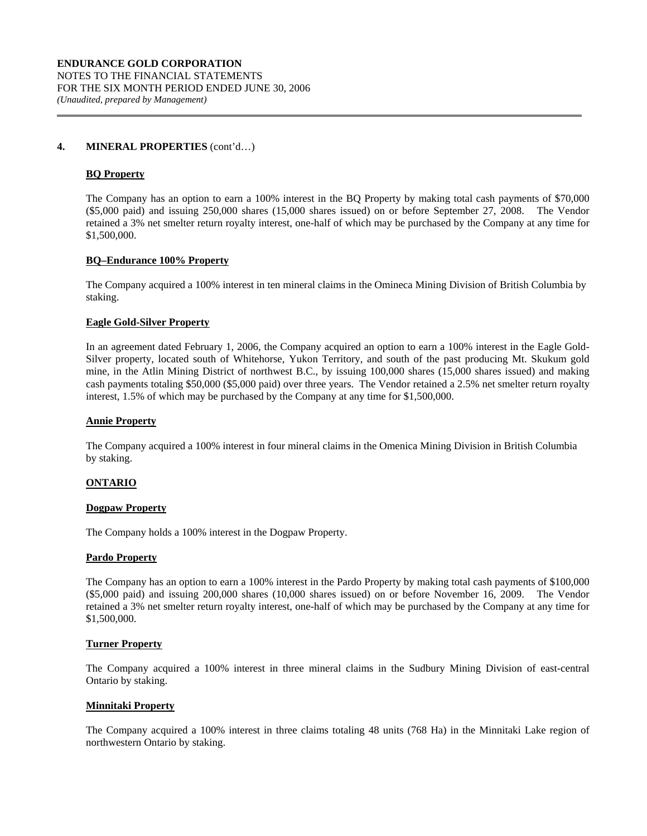#### **BQ Property**

 The Company has an option to earn a 100% interest in the BQ Property by making total cash payments of \$70,000 (\$5,000 paid) and issuing 250,000 shares (15,000 shares issued) on or before September 27, 2008. The Vendor retained a 3% net smelter return royalty interest, one-half of which may be purchased by the Company at any time for \$1,500,000.

#### **BQ–Endurance 100% Property**

The Company acquired a 100% interest in ten mineral claims in the Omineca Mining Division of British Columbia by staking.

# **Eagle Gold-Silver Property**

 In an agreement dated February 1, 2006, the Company acquired an option to earn a 100% interest in the Eagle Gold-Silver property, located south of Whitehorse, Yukon Territory, and south of the past producing Mt. Skukum gold mine, in the Atlin Mining District of northwest B.C., by issuing 100,000 shares (15,000 shares issued) and making cash payments totaling \$50,000 (\$5,000 paid) over three years. The Vendor retained a 2.5% net smelter return royalty interest, 1.5% of which may be purchased by the Company at any time for \$1,500,000.

#### **Annie Property**

The Company acquired a 100% interest in four mineral claims in the Omenica Mining Division in British Columbia by staking.

#### **ONTARIO**

#### **Dogpaw Property**

The Company holds a 100% interest in the Dogpaw Property.

#### **Pardo Property**

The Company has an option to earn a 100% interest in the Pardo Property by making total cash payments of \$100,000 (\$5,000 paid) and issuing 200,000 shares (10,000 shares issued) on or before November 16, 2009. The Vendor retained a 3% net smelter return royalty interest, one-half of which may be purchased by the Company at any time for \$1,500,000.

#### **Turner Property**

The Company acquired a 100% interest in three mineral claims in the Sudbury Mining Division of east-central Ontario by staking.

#### **Minnitaki Property**

 The Company acquired a 100% interest in three claims totaling 48 units (768 Ha) in the Minnitaki Lake region of northwestern Ontario by staking.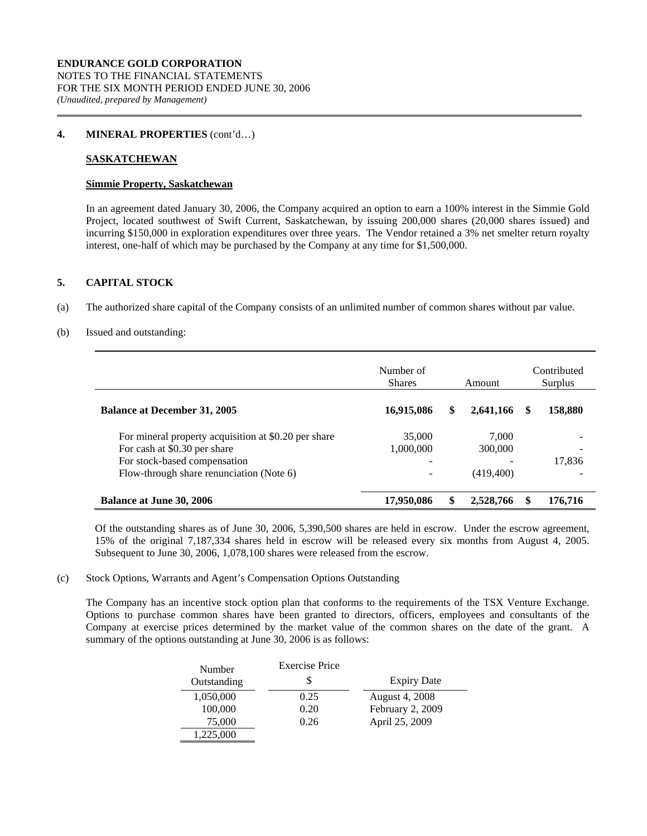# **SASKATCHEWAN**

#### **Simmie Property, Saskatchewan**

 In an agreement dated January 30, 2006, the Company acquired an option to earn a 100% interest in the Simmie Gold Project, located southwest of Swift Current, Saskatchewan, by issuing 200,000 shares (20,000 shares issued) and incurring \$150,000 in exploration expenditures over three years. The Vendor retained a 3% net smelter return royalty interest, one-half of which may be purchased by the Company at any time for \$1,500,000.

# **5. CAPITAL STOCK**

(a) The authorized share capital of the Company consists of an unlimited number of common shares without par value.

#### (b) Issued and outstanding:

|                                                                                      | Number of<br><b>Shares</b> | Amount           |   | Contributed<br>Surplus |
|--------------------------------------------------------------------------------------|----------------------------|------------------|---|------------------------|
| <b>Balance at December 31, 2005</b>                                                  | 16,915,086                 | \$<br>2,641,166  | S | 158,880                |
| For mineral property acquisition at \$0.20 per share<br>For cash at \$0.30 per share | 35,000<br>1,000,000        | 7.000<br>300,000 |   |                        |
| For stock-based compensation<br>Flow-through share renunciation (Note 6)             | -                          | (419, 400)       |   | 17,836                 |
| <b>Balance at June 30, 2006</b>                                                      | 17,950,086                 | 2,528,766        |   | 176,716                |

Of the outstanding shares as of June 30, 2006, 5,390,500 shares are held in escrow. Under the escrow agreement, 15% of the original 7,187,334 shares held in escrow will be released every six months from August 4, 2005. Subsequent to June 30, 2006, 1,078,100 shares were released from the escrow.

# (c) Stock Options, Warrants and Agent's Compensation Options Outstanding

The Company has an incentive stock option plan that conforms to the requirements of the TSX Venture Exchange. Options to purchase common shares have been granted to directors, officers, employees and consultants of the Company at exercise prices determined by the market value of the common shares on the date of the grant. A summary of the options outstanding at June 30, 2006 is as follows:

| Number      | <b>Exercise Price</b> |                    |
|-------------|-----------------------|--------------------|
| Outstanding | S                     | <b>Expiry Date</b> |
| 1,050,000   | 0.25                  | August 4, 2008     |
| 100,000     | 0.20                  | February 2, 2009   |
| 75,000      | 0.26                  | April 25, 2009     |
| 1,225,000   |                       |                    |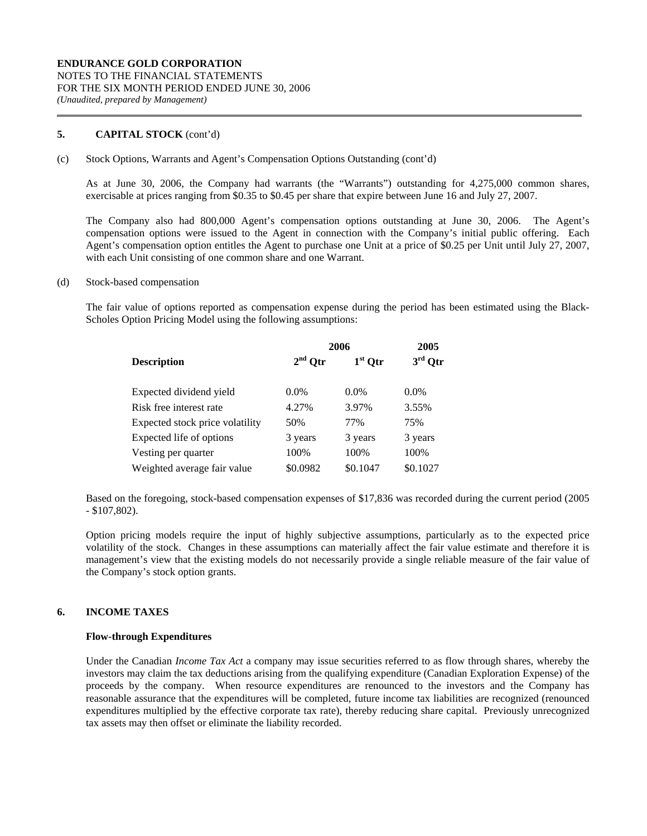# **5. CAPITAL STOCK** (cont'd)

#### (c) Stock Options, Warrants and Agent's Compensation Options Outstanding (cont'd)

As at June 30, 2006, the Company had warrants (the "Warrants") outstanding for 4,275,000 common shares, exercisable at prices ranging from \$0.35 to \$0.45 per share that expire between June 16 and July 27, 2007.

The Company also had 800,000 Agent's compensation options outstanding at June 30, 2006. The Agent's compensation options were issued to the Agent in connection with the Company's initial public offering. Each Agent's compensation option entitles the Agent to purchase one Unit at a price of \$0.25 per Unit until July 27, 2007, with each Unit consisting of one common share and one Warrant.

#### (d) Stock-based compensation

The fair value of options reported as compensation expense during the period has been estimated using the Black-Scholes Option Pricing Model using the following assumptions:

|                                 | 2006      | 2005      |           |
|---------------------------------|-----------|-----------|-----------|
| <b>Description</b>              | $2nd$ Otr | $1st$ Otr | $3rd$ Otr |
| Expected dividend yield         | $0.0\%$   | $0.0\%$   | $0.0\%$   |
| Risk free interest rate         | 4.27%     | 3.97%     | 3.55%     |
| Expected stock price volatility | 50%       | 77%       | 75%       |
| Expected life of options        | 3 years   | 3 years   | 3 years   |
| Vesting per quarter             | 100%      | 100%      | 100%      |
| Weighted average fair value     | \$0.0982  | \$0.1047  | \$0.1027  |

Based on the foregoing, stock-based compensation expenses of \$17,836 was recorded during the current period (2005 - \$107,802).

Option pricing models require the input of highly subjective assumptions, particularly as to the expected price volatility of the stock. Changes in these assumptions can materially affect the fair value estimate and therefore it is management's view that the existing models do not necessarily provide a single reliable measure of the fair value of the Company's stock option grants.

# **6. INCOME TAXES**

# **Flow-through Expenditures**

Under the Canadian *Income Tax Act* a company may issue securities referred to as flow through shares, whereby the investors may claim the tax deductions arising from the qualifying expenditure (Canadian Exploration Expense) of the proceeds by the company. When resource expenditures are renounced to the investors and the Company has reasonable assurance that the expenditures will be completed, future income tax liabilities are recognized (renounced expenditures multiplied by the effective corporate tax rate), thereby reducing share capital. Previously unrecognized tax assets may then offset or eliminate the liability recorded.